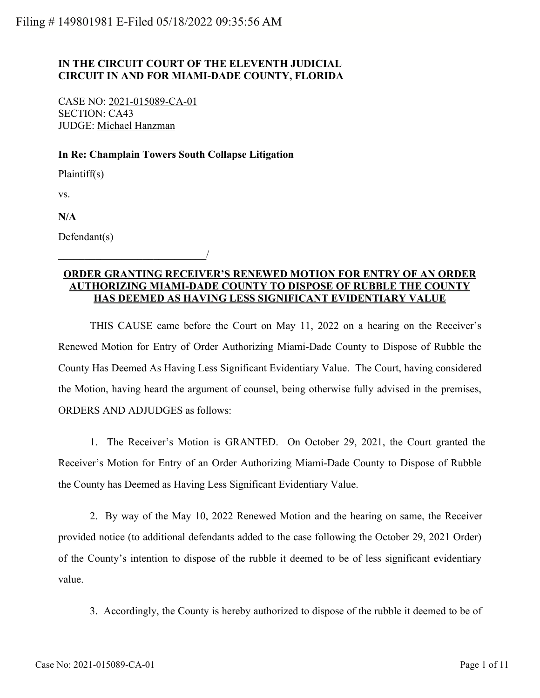## **IN THE CIRCUIT COURT OF THE ELEVENTH JUDICIAL CIRCUIT IN AND FOR MIAMI-DADE COUNTY, FLORIDA**

CASE NO: 2021-015089-CA-01 SECTION: CA43 JUDGE: Michael Hanzman

\_\_\_\_\_\_\_\_\_\_\_\_\_\_\_\_\_\_\_\_\_\_\_\_\_\_\_\_/

### **In Re: Champlain Towers South Collapse Litigation**

Plaintiff(s)

vs.

**N/A**

Defendant(s)

## **ORDER GRANTING RECEIVER'S RENEWED MOTION FOR ENTRY OF AN ORDER AUTHORIZING MIAMI-DADE COUNTY TO DISPOSE OF RUBBLE THE COUNTY HAS DEEMED AS HAVING LESS SIGNIFICANT EVIDENTIARY VALUE**

THIS CAUSE came before the Court on May 11, 2022 on a hearing on the Receiver's Renewed Motion for Entry of Order Authorizing Miami-Dade County to Dispose of Rubble the County Has Deemed As Having Less Significant Evidentiary Value. The Court, having considered the Motion, having heard the argument of counsel, being otherwise fully advised in the premises, ORDERS AND ADJUDGES as follows:

1. The Receiver's Motion is GRANTED. On October 29, 2021, the Court granted the Receiver's Motion for Entry of an Order Authorizing Miami-Dade County to Dispose of Rubble the County has Deemed as Having Less Significant Evidentiary Value.

2. By way of the May 10, 2022 Renewed Motion and the hearing on same, the Receiver provided notice (to additional defendants added to the case following the October 29, 2021 Order) of the County's intention to dispose of the rubble it deemed to be of less significant evidentiary value.

3. Accordingly, the County is hereby authorized to dispose of the rubble it deemed to be of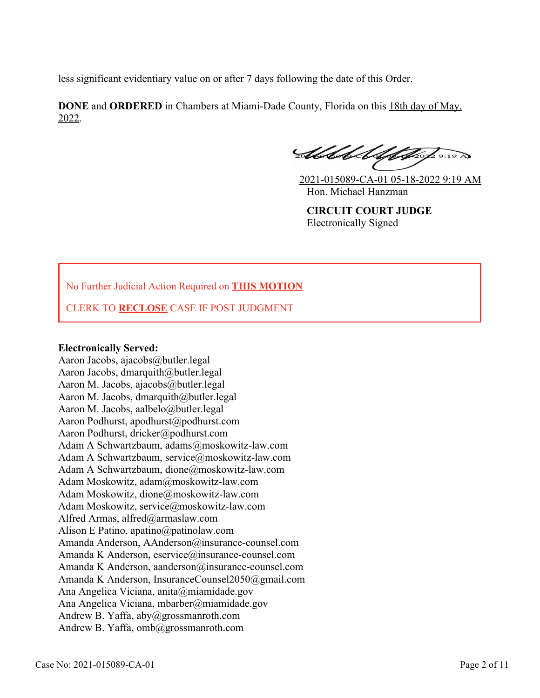less significant evidentiary value on or after 7 days following the date of this Order.

**DONE** and **ORDERED** in Chambers at Miami-Dade County, Florida on this 18th day of May, 2022.

Substitut for 2 9:19 A

2021-015089-CA-01 05-18-2022 9:19 AM Hon. Michael Hanzman

**CIRCUIT COURT JUDGE** Electronically Signed

# No Further Judicial Action Required on **THIS MOTION**

CLERK TO **RECLOSE** CASE IF POST JUDGMENT

#### **Electronically Served:**

Aaron Jacobs, ajacobs@butler.legal Aaron Jacobs, dmarquith@butler.legal Aaron M. Jacobs, ajacobs@butler.legal Aaron M. Jacobs, dmarquith@butler.legal Aaron M. Jacobs, aalbelo@butler.legal Aaron Podhurst, apodhurst@podhurst.com Aaron Podhurst, dricker@podhurst.com Adam A Schwartzbaum, adams@moskowitz-law.com Adam A Schwartzbaum, service@moskowitz-law.com Adam A Schwartzbaum, dione@moskowitz-law.com Adam Moskowitz, adam@moskowitz-law.com Adam Moskowitz, dione@moskowitz-law.com Adam Moskowitz, service@moskowitz-law.com Alfred Armas, alfred@armaslaw.com Alison E Patino, apatino@patinolaw.com Amanda Anderson, AAnderson@insurance-counsel.com Amanda K Anderson, eservice@insurance-counsel.com Amanda K Anderson, aanderson@insurance-counsel.com Amanda K Anderson, InsuranceCounsel2050@gmail.com Ana Angelica Viciana, anita@miamidade.gov Ana Angelica Viciana, mbarber@miamidade.gov Andrew B. Yaffa, aby@grossmanroth.com Andrew B. Yaffa, omb@grossmanroth.com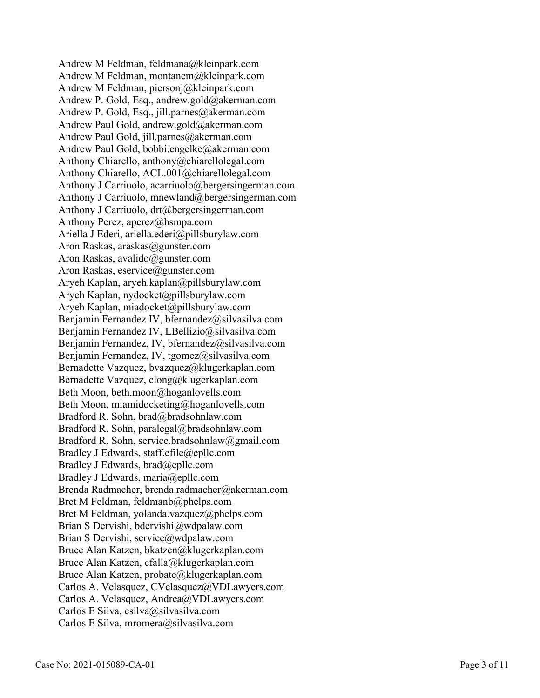Andrew M Feldman, feldmana@kleinpark.com Andrew M Feldman, montanem@kleinpark.com Andrew M Feldman, piersonj@kleinpark.com Andrew P. Gold, Esq., andrew.gold@akerman.com Andrew P. Gold, Esq., jill.parnes@akerman.com Andrew Paul Gold, andrew.gold@akerman.com Andrew Paul Gold, jill.parnes@akerman.com Andrew Paul Gold, bobbi.engelke@akerman.com Anthony Chiarello, anthony@chiarellolegal.com Anthony Chiarello, ACL.001@chiarellolegal.com Anthony J Carriuolo, acarriuolo@bergersingerman.com Anthony J Carriuolo, mnewland@bergersingerman.com Anthony J Carriuolo, drt@bergersingerman.com Anthony Perez, aperez@hsmpa.com Ariella J Ederi, ariella.ederi@pillsburylaw.com Aron Raskas, araskas@gunster.com Aron Raskas, avalido@gunster.com Aron Raskas, eservice@gunster.com Aryeh Kaplan, aryeh.kaplan@pillsburylaw.com Aryeh Kaplan, nydocket@pillsburylaw.com Aryeh Kaplan, miadocket@pillsburylaw.com Benjamin Fernandez IV, bfernandez@silvasilva.com Benjamin Fernandez IV, LBellizio@silvasilva.com Benjamin Fernandez, IV, bfernandez@silvasilva.com Benjamin Fernandez, IV, tgomez@silvasilva.com Bernadette Vazquez, bvazquez@klugerkaplan.com Bernadette Vazquez, clong@klugerkaplan.com Beth Moon, beth.moon@hoganlovells.com Beth Moon, miamidocketing@hoganlovells.com Bradford R. Sohn, brad@bradsohnlaw.com Bradford R. Sohn, paralegal@bradsohnlaw.com Bradford R. Sohn, service.bradsohnlaw@gmail.com Bradley J Edwards, staff.efile@epllc.com Bradley J Edwards, brad@epllc.com Bradley J Edwards, maria@epllc.com Brenda Radmacher, brenda.radmacher@akerman.com Bret M Feldman, feldmanb@phelps.com Bret M Feldman, yolanda.vazquez@phelps.com Brian S Dervishi, bdervishi@wdpalaw.com Brian S Dervishi, service@wdpalaw.com Bruce Alan Katzen, bkatzen@klugerkaplan.com Bruce Alan Katzen, cfalla@klugerkaplan.com Bruce Alan Katzen, probate@klugerkaplan.com Carlos A. Velasquez, CVelasquez@VDLawyers.com Carlos A. Velasquez, Andrea@VDLawyers.com Carlos E Silva, csilva@silvasilva.com Carlos E Silva, mromera@silvasilva.com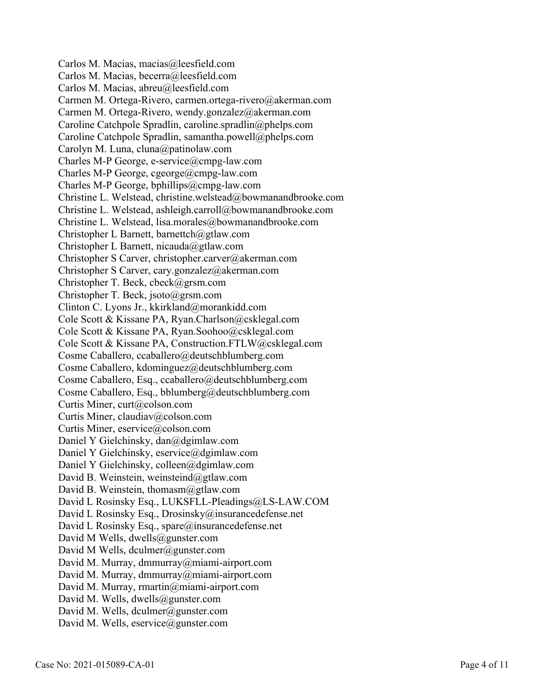Carlos M. Macias, macias@leesfield.com Carlos M. Macias, becerra@leesfield.com Carlos M. Macias, abreu@leesfield.com Carmen M. Ortega-Rivero, carmen.ortega-rivero@akerman.com Carmen M. Ortega-Rivero, wendy.gonzalez@akerman.com Caroline Catchpole Spradlin, caroline.spradlin@phelps.com Caroline Catchpole Spradlin, samantha.powell@phelps.com Carolyn M. Luna, cluna@patinolaw.com Charles M-P George, e-service@cmpg-law.com Charles M-P George, cgeorge@cmpg-law.com Charles M-P George, bphillips@cmpg-law.com Christine L. Welstead, christine.welstead@bowmanandbrooke.com Christine L. Welstead, ashleigh.carroll@bowmanandbrooke.com Christine L. Welstead, lisa.morales@bowmanandbrooke.com Christopher L Barnett, barnettch@gtlaw.com Christopher L Barnett, nicauda@gtlaw.com Christopher S Carver, christopher.carver@akerman.com Christopher S Carver, cary.gonzalez@akerman.com Christopher T. Beck, cbeck@grsm.com Christopher T. Beck, jsoto@grsm.com Clinton C. Lyons Jr., kkirkland@morankidd.com Cole Scott & Kissane PA, Ryan.Charlson@csklegal.com Cole Scott & Kissane PA, Ryan.Soohoo@csklegal.com Cole Scott & Kissane PA, Construction.FTLW@csklegal.com Cosme Caballero, ccaballero@deutschblumberg.com Cosme Caballero, kdominguez@deutschblumberg.com Cosme Caballero, Esq., ccaballero@deutschblumberg.com Cosme Caballero, Esq., bblumberg@deutschblumberg.com Curtis Miner, curt@colson.com Curtis Miner, claudiav@colson.com Curtis Miner, eservice@colson.com Daniel Y Gielchinsky, dan@dgimlaw.com Daniel Y Gielchinsky, eservice@dgimlaw.com Daniel Y Gielchinsky, colleen@dgimlaw.com David B. Weinstein, weinsteind@gtlaw.com David B. Weinstein, thomasm@gtlaw.com David L Rosinsky Esq., LUKSFLL-Pleadings@LS-LAW.COM David L Rosinsky Esq., Drosinsky@insurancedefense.net David L Rosinsky Esq., spare@insurancedefense.net David M Wells, dwells@gunster.com David M Wells, dculmer@gunster.com David M. Murray, dmmurray@miami-airport.com David M. Murray, dmmurray@miami-airport.com David M. Murray, rmartin@miami-airport.com David M. Wells, dwells@gunster.com David M. Wells, dculmer@gunster.com David M. Wells, eservice@gunster.com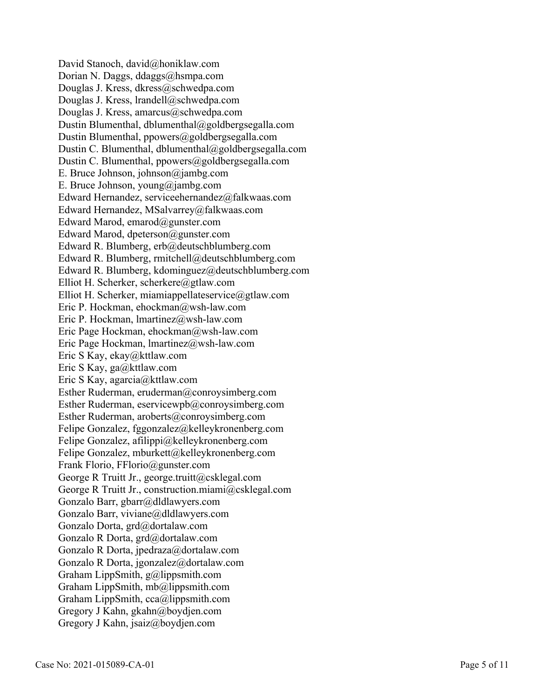David Stanoch, david@honiklaw.com Dorian N. Daggs, ddaggs@hsmpa.com Douglas J. Kress, dkress@schwedpa.com Douglas J. Kress, lrandell@schwedpa.com Douglas J. Kress, amarcus@schwedpa.com Dustin Blumenthal, dblumenthal@goldbergsegalla.com Dustin Blumenthal, ppowers@goldbergsegalla.com Dustin C. Blumenthal, dblumenthal@goldbergsegalla.com Dustin C. Blumenthal, ppowers@goldbergsegalla.com E. Bruce Johnson, johnson@jambg.com E. Bruce Johnson, young@jambg.com Edward Hernandez, serviceehernandez@falkwaas.com Edward Hernandez, MSalvarrey@falkwaas.com Edward Marod, emarod@gunster.com Edward Marod, dpeterson@gunster.com Edward R. Blumberg, erb@deutschblumberg.com Edward R. Blumberg, rmitchell@deutschblumberg.com Edward R. Blumberg, kdominguez@deutschblumberg.com Elliot H. Scherker, scherkere@gtlaw.com Elliot H. Scherker, miamiappellateservice@gtlaw.com Eric P. Hockman, ehockman@wsh-law.com Eric P. Hockman, lmartinez@wsh-law.com Eric Page Hockman, ehockman@wsh-law.com Eric Page Hockman, lmartinez@wsh-law.com Eric S Kay, ekay@kttlaw.com Eric S Kay, ga@kttlaw.com Eric S Kay, agarcia@kttlaw.com Esther Ruderman, eruderman@conroysimberg.com Esther Ruderman, eservicewpb@conroysimberg.com Esther Ruderman, aroberts@conroysimberg.com Felipe Gonzalez, fggonzalez@kelleykronenberg.com Felipe Gonzalez, afilippi@kelleykronenberg.com Felipe Gonzalez, mburkett@kelleykronenberg.com Frank Florio, FFlorio@gunster.com George R Truitt Jr., george.truitt@csklegal.com George R Truitt Jr., construction.miami@csklegal.com Gonzalo Barr, gbarr@dldlawyers.com Gonzalo Barr, viviane@dldlawyers.com Gonzalo Dorta, grd@dortalaw.com Gonzalo R Dorta, grd@dortalaw.com Gonzalo R Dorta, jpedraza@dortalaw.com Gonzalo R Dorta, jgonzalez@dortalaw.com Graham LippSmith, g@lippsmith.com Graham LippSmith, mb@lippsmith.com Graham LippSmith, cca@lippsmith.com Gregory J Kahn, gkahn@boydjen.com Gregory J Kahn, jsaiz@boydjen.com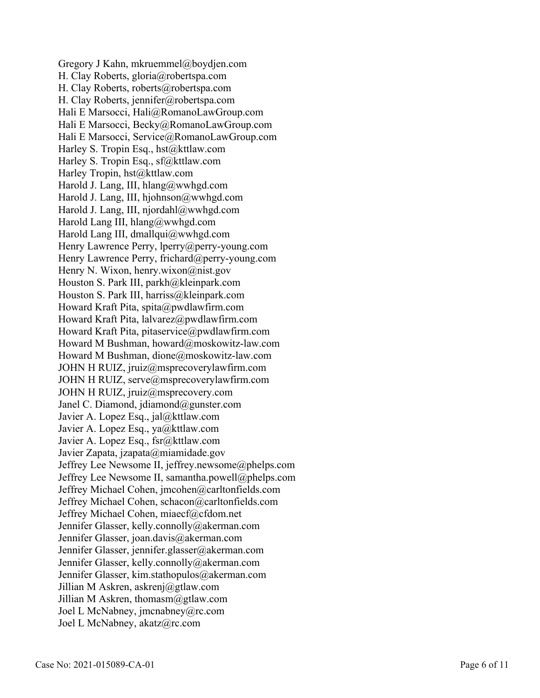Gregory J Kahn, mkruemmel@boydjen.com H. Clay Roberts, gloria@robertspa.com H. Clay Roberts, roberts@robertspa.com H. Clay Roberts, jennifer@robertspa.com Hali E Marsocci, Hali@RomanoLawGroup.com Hali E Marsocci, Becky@RomanoLawGroup.com Hali E Marsocci, Service@RomanoLawGroup.com Harley S. Tropin Esq., hst@kttlaw.com Harley S. Tropin Esq., sf@kttlaw.com Harley Tropin, hst@kttlaw.com Harold J. Lang, III, hlang@wwhgd.com Harold J. Lang, III, hjohnson@wwhgd.com Harold J. Lang, III, njordahl@wwhgd.com Harold Lang III, hlang@wwhgd.com Harold Lang III, dmallqui@wwhgd.com Henry Lawrence Perry, lperry@perry-young.com Henry Lawrence Perry, frichard@perry-young.com Henry N. Wixon, henry.wixon@nist.gov Houston S. Park III, parkh@kleinpark.com Houston S. Park III, harriss@kleinpark.com Howard Kraft Pita, spita@pwdlawfirm.com Howard Kraft Pita, lalvarez@pwdlawfirm.com Howard Kraft Pita, pitaservice@pwdlawfirm.com Howard M Bushman, howard@moskowitz-law.com Howard M Bushman, dione@moskowitz-law.com JOHN H RUIZ, jruiz@msprecoverylawfirm.com JOHN H RUIZ, serve@msprecoverylawfirm.com JOHN H RUIZ, jruiz@msprecovery.com Janel C. Diamond, jdiamond@gunster.com Javier A. Lopez Esq., jal@kttlaw.com Javier A. Lopez Esq., ya@kttlaw.com Javier A. Lopez Esq., fsr@kttlaw.com Javier Zapata, jzapata@miamidade.gov Jeffrey Lee Newsome II, jeffrey.newsome@phelps.com Jeffrey Lee Newsome II, samantha.powell@phelps.com Jeffrey Michael Cohen, jmcohen@carltonfields.com Jeffrey Michael Cohen, schacon@carltonfields.com Jeffrey Michael Cohen, miaecf@cfdom.net Jennifer Glasser, kelly.connolly@akerman.com Jennifer Glasser, joan.davis@akerman.com Jennifer Glasser, jennifer.glasser@akerman.com Jennifer Glasser, kelly.connolly@akerman.com Jennifer Glasser, kim.stathopulos@akerman.com Jillian M Askren, askrenj@gtlaw.com Jillian M Askren, thomasm@gtlaw.com Joel L McNabney, jmcnabney@rc.com Joel L McNabney, akatz@rc.com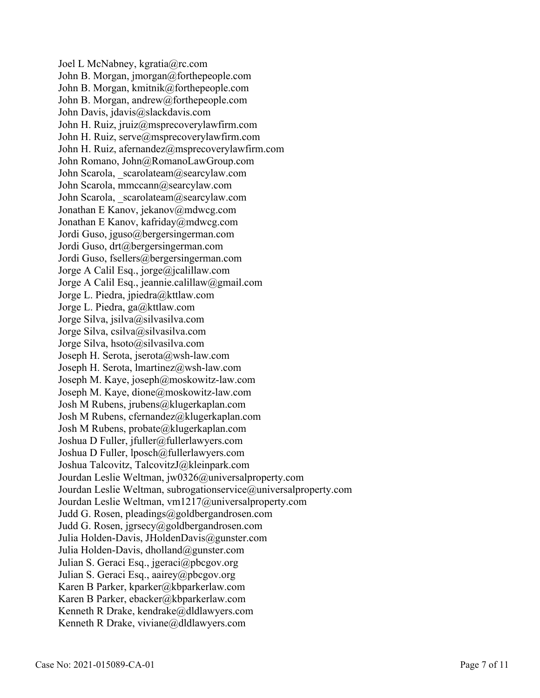Joel L McNabney, kgratia@rc.com John B. Morgan, jmorgan@forthepeople.com John B. Morgan, kmitnik@forthepeople.com John B. Morgan, andrew@forthepeople.com John Davis, jdavis@slackdavis.com John H. Ruiz, jruiz@msprecoverylawfirm.com John H. Ruiz, serve@msprecoverylawfirm.com John H. Ruiz, afernandez@msprecoverylawfirm.com John Romano, John@RomanoLawGroup.com John Scarola, scarolateam@searcylaw.com John Scarola, mmccann@searcylaw.com John Scarola, scarolateam@searcylaw.com Jonathan E Kanov, jekanov@mdwcg.com Jonathan E Kanov, kafriday@mdwcg.com Jordi Guso, jguso@bergersingerman.com Jordi Guso, drt@bergersingerman.com Jordi Guso, fsellers@bergersingerman.com Jorge A Calil Esq., jorge@jcalillaw.com Jorge A Calil Esq., jeannie.calillaw@gmail.com Jorge L. Piedra, jpiedra@kttlaw.com Jorge L. Piedra, ga@kttlaw.com Jorge Silva, jsilva@silvasilva.com Jorge Silva, csilva@silvasilva.com Jorge Silva, hsoto@silvasilva.com Joseph H. Serota, jserota@wsh-law.com Joseph H. Serota, lmartinez@wsh-law.com Joseph M. Kaye, joseph@moskowitz-law.com Joseph M. Kaye, dione@moskowitz-law.com Josh M Rubens, jrubens@klugerkaplan.com Josh M Rubens, cfernandez@klugerkaplan.com Josh M Rubens, probate@klugerkaplan.com Joshua D Fuller, jfuller@fullerlawyers.com Joshua D Fuller, lposch@fullerlawyers.com Joshua Talcovitz, TalcovitzJ@kleinpark.com Jourdan Leslie Weltman, jw0326@universalproperty.com Jourdan Leslie Weltman, subrogationservice@universalproperty.com Jourdan Leslie Weltman, vm1217@universalproperty.com Judd G. Rosen, pleadings@goldbergandrosen.com Judd G. Rosen, jgrsecy@goldbergandrosen.com Julia Holden-Davis, JHoldenDavis@gunster.com Julia Holden-Davis, dholland@gunster.com Julian S. Geraci Esq., jgeraci@pbcgov.org Julian S. Geraci Esq., aairey@pbcgov.org Karen B Parker, kparker@kbparkerlaw.com Karen B Parker, ebacker@kbparkerlaw.com Kenneth R Drake, kendrake@dldlawyers.com Kenneth R Drake, viviane@dldlawyers.com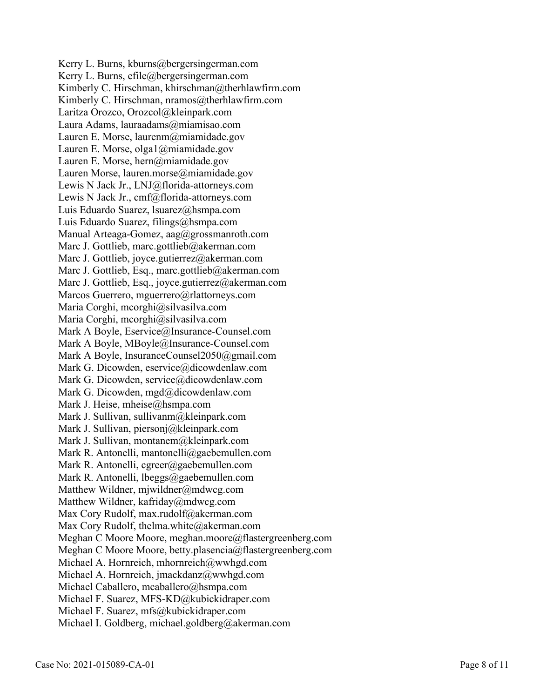Kerry L. Burns, kburns@bergersingerman.com Kerry L. Burns, efile@bergersingerman.com Kimberly C. Hirschman, khirschman@therhlawfirm.com Kimberly C. Hirschman, nramos@therhlawfirm.com Laritza Orozco, Orozcol@kleinpark.com Laura Adams, lauraadams@miamisao.com Lauren E. Morse, laurenm@miamidade.gov Lauren E. Morse, olga1@miamidade.gov Lauren E. Morse, hern@miamidade.gov Lauren Morse, lauren.morse@miamidade.gov Lewis N Jack Jr., LNJ@florida-attorneys.com Lewis N Jack Jr., cmf@florida-attorneys.com Luis Eduardo Suarez, lsuarez@hsmpa.com Luis Eduardo Suarez, filings@hsmpa.com Manual Arteaga-Gomez, aag@grossmanroth.com Marc J. Gottlieb, marc.gottlieb@akerman.com Marc J. Gottlieb, joyce.gutierrez@akerman.com Marc J. Gottlieb, Esq., marc.gottlieb@akerman.com Marc J. Gottlieb, Esq., joyce.gutierrez@akerman.com Marcos Guerrero, mguerrero@rlattorneys.com Maria Corghi, mcorghi@silvasilva.com Maria Corghi, mcorghi@silvasilva.com Mark A Boyle, Eservice@Insurance-Counsel.com Mark A Boyle, MBoyle@Insurance-Counsel.com Mark A Boyle, InsuranceCounsel2050@gmail.com Mark G. Dicowden, eservice@dicowdenlaw.com Mark G. Dicowden, service@dicowdenlaw.com Mark G. Dicowden, mgd@dicowdenlaw.com Mark J. Heise, mheise@hsmpa.com Mark J. Sullivan, sullivanm@kleinpark.com Mark J. Sullivan, piersonj@kleinpark.com Mark J. Sullivan, montanem@kleinpark.com Mark R. Antonelli, mantonelli@gaebemullen.com Mark R. Antonelli, cgreer@gaebemullen.com Mark R. Antonelli, lbeggs@gaebemullen.com Matthew Wildner, mjwildner@mdwcg.com Matthew Wildner, kafriday@mdwcg.com Max Cory Rudolf, max.rudolf@akerman.com Max Cory Rudolf, thelma.white@akerman.com Meghan C Moore Moore, meghan.moore@flastergreenberg.com Meghan C Moore Moore, betty.plasencia@flastergreenberg.com Michael A. Hornreich, mhornreich@wwhgd.com Michael A. Hornreich, jmackdanz@wwhgd.com Michael Caballero, mcaballero@hsmpa.com Michael F. Suarez, MFS-KD@kubickidraper.com Michael F. Suarez, mfs@kubickidraper.com Michael I. Goldberg, michael.goldberg@akerman.com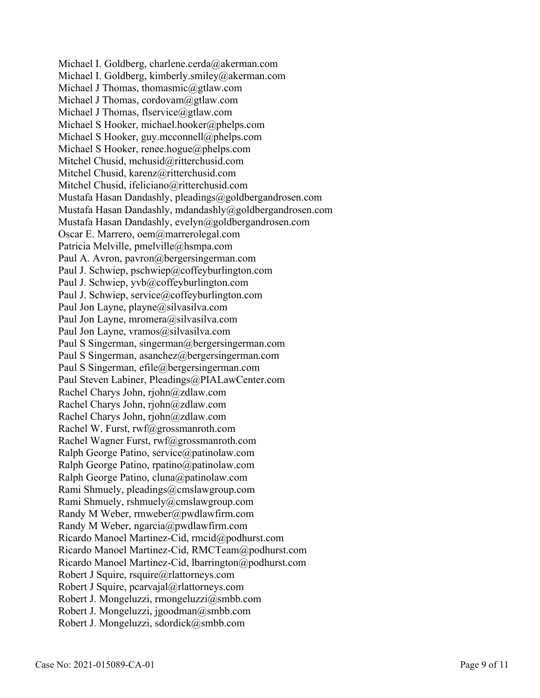Michael I. Goldberg, charlene.cerda@akerman.com Michael I. Goldberg, kimberly.smiley@akerman.com Michael J Thomas, thomasmic@gtlaw.com Michael J Thomas, cordovam@gtlaw.com Michael J Thomas, flservice@gtlaw.com Michael S Hooker, michael.hooker@phelps.com Michael S Hooker, guy.mcconnell@phelps.com Michael S Hooker, renee.hogue@phelps.com Mitchel Chusid, mchusid@ritterchusid.com Mitchel Chusid, karenz@ritterchusid.com Mitchel Chusid, ifeliciano@ritterchusid.com Mustafa Hasan Dandashly, pleadings@goldbergandrosen.com Mustafa Hasan Dandashly, mdandashly@goldbergandrosen.com Mustafa Hasan Dandashly, evelyn@goldbergandrosen.com Oscar E. Marrero, oem@marrerolegal.com Patricia Melville, pmelville@hsmpa.com Paul A. Avron, pavron@bergersingerman.com Paul J. Schwiep, pschwiep@coffeyburlington.com Paul J. Schwiep, yvb@coffeyburlington.com Paul J. Schwiep, service@coffeyburlington.com Paul Jon Layne, playne@silvasilva.com Paul Jon Layne, mromera@silvasilva.com Paul Jon Layne, vramos@silvasilva.com Paul S Singerman, singerman@bergersingerman.com Paul S Singerman, asanchez@bergersingerman.com Paul S Singerman, efile@bergersingerman.com Paul Steven Labiner, Pleadings@PIALawCenter.com Rachel Charys John, rjohn@zdlaw.com Rachel Charys John, rjohn@zdlaw.com Rachel Charys John, rjohn@zdlaw.com Rachel W. Furst, rwf@grossmanroth.com Rachel Wagner Furst, rwf@grossmanroth.com Ralph George Patino, service@patinolaw.com Ralph George Patino, rpatino@patinolaw.com Ralph George Patino, cluna@patinolaw.com Rami Shmuely, pleadings@cmslawgroup.com Rami Shmuely, rshmuely@cmslawgroup.com Randy M Weber, rmweber@pwdlawfirm.com Randy M Weber, ngarcia@pwdlawfirm.com Ricardo Manoel Martinez-Cid, rmcid@podhurst.com Ricardo Manoel Martinez-Cid, RMCTeam@podhurst.com Ricardo Manoel Martinez-Cid, lbarrington@podhurst.com Robert J Squire, rsquire@rlattorneys.com Robert J Squire, pcarvajal@rlattorneys.com Robert J. Mongeluzzi, rmongeluzzi@smbb.com Robert J. Mongeluzzi, jgoodman@smbb.com Robert J. Mongeluzzi, sdordick@smbb.com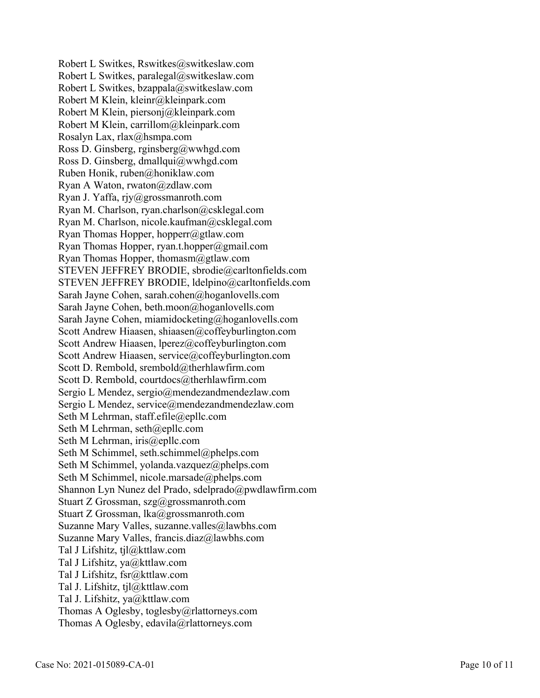Robert L Switkes, Rswitkes@switkeslaw.com Robert L Switkes, paralegal@switkeslaw.com Robert L Switkes, bzappala@switkeslaw.com Robert M Klein, kleinr@kleinpark.com Robert M Klein, piersonj@kleinpark.com Robert M Klein, carrillom@kleinpark.com Rosalyn Lax, rlax@hsmpa.com Ross D. Ginsberg, rginsberg@wwhgd.com Ross D. Ginsberg, dmallqui@wwhgd.com Ruben Honik, ruben@honiklaw.com Ryan A Waton, rwaton@zdlaw.com Ryan J. Yaffa, rjy@grossmanroth.com Ryan M. Charlson, ryan.charlson@csklegal.com Ryan M. Charlson, nicole.kaufman@csklegal.com Ryan Thomas Hopper, hopperr@gtlaw.com Ryan Thomas Hopper, ryan.t.hopper@gmail.com Ryan Thomas Hopper, thomasm@gtlaw.com STEVEN JEFFREY BRODIE, sbrodie@carltonfields.com STEVEN JEFFREY BRODIE, ldelpino@carltonfields.com Sarah Jayne Cohen, sarah.cohen@hoganlovells.com Sarah Jayne Cohen, beth.moon@hoganlovells.com Sarah Jayne Cohen, miamidocketing@hoganlovells.com Scott Andrew Hiaasen, shiaasen@coffeyburlington.com Scott Andrew Hiaasen, lperez@coffeyburlington.com Scott Andrew Hiaasen, service@coffeyburlington.com Scott D. Rembold, srembold@therhlawfirm.com Scott D. Rembold, courtdocs@therhlawfirm.com Sergio L Mendez, sergio@mendezandmendezlaw.com Sergio L Mendez, service@mendezandmendezlaw.com Seth M Lehrman, staff.efile@epllc.com Seth M Lehrman, seth@epllc.com Seth M Lehrman, iris@epllc.com Seth M Schimmel, seth.schimmel@phelps.com Seth M Schimmel, yolanda.vazquez@phelps.com Seth M Schimmel, nicole.marsade@phelps.com Shannon Lyn Nunez del Prado, sdelprado@pwdlawfirm.com Stuart Z Grossman, szg@grossmanroth.com Stuart Z Grossman, lka@grossmanroth.com Suzanne Mary Valles, suzanne.valles@lawbhs.com Suzanne Mary Valles, francis.diaz@lawbhs.com Tal J Lifshitz, tjl@kttlaw.com Tal J Lifshitz, ya@kttlaw.com Tal J Lifshitz, fsr@kttlaw.com Tal J. Lifshitz, tjl@kttlaw.com Tal J. Lifshitz, ya@kttlaw.com Thomas A Oglesby, toglesby@rlattorneys.com Thomas A Oglesby, edavila@rlattorneys.com